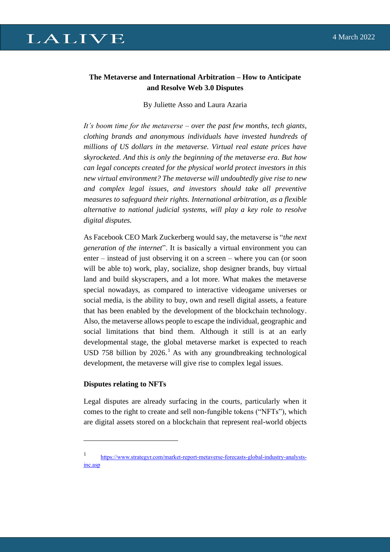# **LALIVE**

## **The Metaverse and International Arbitration – How to Anticipate and Resolve Web 3.0 Disputes**

By Juliette Asso and Laura Azaria

*It's boom time for the metaverse – over the past few months, tech giants, clothing brands and anonymous individuals have invested hundreds of millions of US dollars in the metaverse. Virtual real estate prices have skyrocketed. And this is only the beginning of the metaverse era. But how can legal concepts created for the physical world protect investors in this new virtual environment? The metaverse will undoubtedly give rise to new and complex legal issues, and investors should take all preventive measures to safeguard their rights. International arbitration, as a flexible alternative to national judicial systems, will play a key role to resolve digital disputes.*

As Facebook CEO Mark Zuckerberg would say, the metaverse is "*the next generation of the internet*". It is basically a virtual environment you can enter – instead of just observing it on a screen – where you can (or soon will be able to) work, play, socialize, shop designer brands, buy virtual land and build skyscrapers, and a lot more. What makes the metaverse special nowadays, as compared to interactive videogame universes or social media, is the ability to buy, own and resell digital assets, a feature that has been enabled by the development of the blockchain technology. Also, the metaverse allows people to escape the individual, geographic and social limitations that bind them. Although it still is at an early developmental stage, the global metaverse market is expected to reach USD 758 billion by  $2026$ .<sup>1</sup> As with any groundbreaking technological development, the metaverse will give rise to complex legal issues.

#### **Disputes relating to NFTs**

Legal disputes are already surfacing in the courts, particularly when it comes to the right to create and sell non-fungible tokens ("NFTs"), which are digital assets stored on a blockchain that represent real-world objects

<sup>1</sup> [https://www.strategyr.com/market-report-metaverse-forecasts-global-industry-analysts](https://www.strategyr.com/market-report-metaverse-forecasts-global-industry-analysts-inc.asp)[inc.asp](https://www.strategyr.com/market-report-metaverse-forecasts-global-industry-analysts-inc.asp)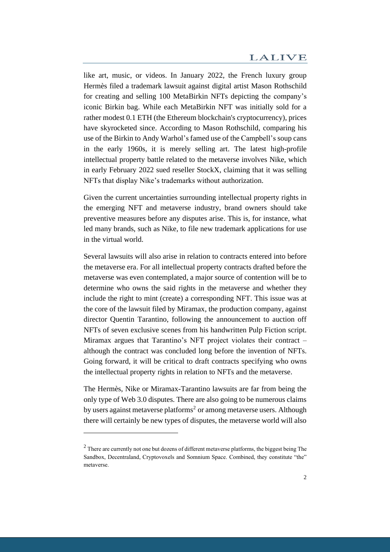like art, music, or videos. In January 2022, the French luxury group Hermès filed a trademark lawsuit against digital artist Mason Rothschild for creating and selling 100 MetaBirkin NFTs depicting the company's iconic Birkin bag. While each MetaBirkin NFT was initially sold for a rather modest 0.1 ETH (the Ethereum blockchain's cryptocurrency), prices have skyrocketed since. According to Mason Rothschild, comparing his use of the Birkin to Andy Warhol's famed use of the Campbell's soup cans in the early 1960s, it is merely selling art. The latest high-profile intellectual property battle related to the metaverse involves Nike, which in early February 2022 sued reseller StockX, claiming that it was selling NFTs that display Nike's trademarks without authorization.

Given the current uncertainties surrounding intellectual property rights in the emerging NFT and metaverse industry, brand owners should take preventive measures before any disputes arise. This is, for instance, what led many brands, such as Nike, to file new trademark applications for use in the virtual world.

Several lawsuits will also arise in relation to contracts entered into before the metaverse era. For all intellectual property contracts drafted before the metaverse was even contemplated, a major source of contention will be to determine who owns the said rights in the metaverse and whether they include the right to mint (create) a corresponding NFT. This issue was at the core of the lawsuit filed by Miramax, the production company, against director Quentin Tarantino, following the announcement to auction off NFTs of seven exclusive scenes from his handwritten Pulp Fiction script. Miramax argues that Tarantino's NFT project violates their contract – although the contract was concluded long before the invention of NFTs. Going forward, it will be critical to draft contracts specifying who owns the intellectual property rights in relation to NFTs and the metaverse.

The Hermès, Nike or Miramax-Tarantino lawsuits are far from being the only type of Web 3.0 disputes. There are also going to be numerous claims by users against metaverse platforms<sup>2</sup> or among metaverse users. Although there will certainly be new types of disputes, the metaverse world will also

 $2$  There are currently not one but dozens of different metaverse platforms, the biggest being The Sandbox, Decentraland, Cryptovoxels and Somnium Space. Combined, they constitute "the" metaverse.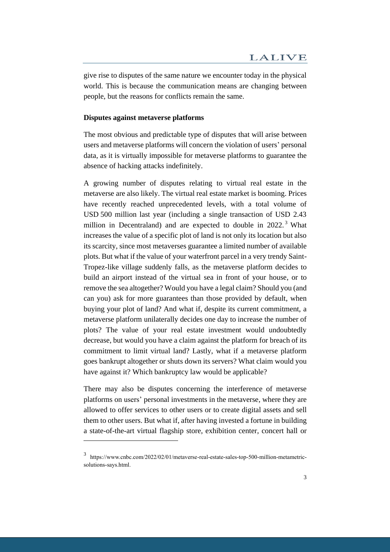give rise to disputes of the same nature we encounter today in the physical world. This is because the communication means are changing between people, but the reasons for conflicts remain the same.

#### **Disputes against metaverse platforms**

The most obvious and predictable type of disputes that will arise between users and metaverse platforms will concern the violation of users' personal data, as it is virtually impossible for metaverse platforms to guarantee the absence of hacking attacks indefinitely.

A growing number of disputes relating to virtual real estate in the metaverse are also likely. The virtual real estate market is booming. Prices have recently reached unprecedented levels, with a total volume of USD 500 million last year (including a single transaction of USD 2.43 million in Decentraland) and are expected to double in 2022.<sup>3</sup> What increases the value of a specific plot of land is not only its location but also its scarcity, since most metaverses guarantee a limited number of available plots. But what if the value of your waterfront parcel in a very trendy Saint-Tropez-like village suddenly falls, as the metaverse platform decides to build an airport instead of the virtual sea in front of your house, or to remove the sea altogether? Would you have a legal claim? Should you (and can you) ask for more guarantees than those provided by default, when buying your plot of land? And what if, despite its current commitment, a metaverse platform unilaterally decides one day to increase the number of plots? The value of your real estate investment would undoubtedly decrease, but would you have a claim against the platform for breach of its commitment to limit virtual land? Lastly, what if a metaverse platform goes bankrupt altogether or shuts down its servers? What claim would you have against it? Which bankruptcy law would be applicable?

There may also be disputes concerning the interference of metaverse platforms on users' personal investments in the metaverse, where they are allowed to offer services to other users or to create digital assets and sell them to other users. But what if, after having invested a fortune in building a state-of-the-art virtual flagship store, exhibition center, concert hall or

<sup>3</sup> https://www.cnbc.com/2022/02/01/metaverse-real-estate-sales-top-500-million-metametricsolutions-says.html.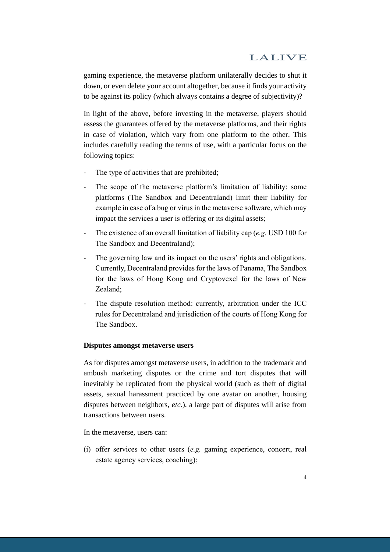gaming experience, the metaverse platform unilaterally decides to shut it down, or even delete your account altogether, because it finds your activity to be against its policy (which always contains a degree of subjectivity)?

In light of the above, before investing in the metaverse, players should assess the guarantees offered by the metaverse platforms, and their rights in case of violation, which vary from one platform to the other. This includes carefully reading the terms of use, with a particular focus on the following topics:

- The type of activities that are prohibited;
- The scope of the metaverse platform's limitation of liability: some platforms (The Sandbox and Decentraland) limit their liability for example in case of a bug or virus in the metaverse software, which may impact the services a user is offering or its digital assets;
- The existence of an overall limitation of liability cap (*e.g.* USD 100 for The Sandbox and Decentraland);
- The governing law and its impact on the users' rights and obligations. Currently, Decentraland provides for the laws of Panama, The Sandbox for the laws of Hong Kong and Cryptovexel for the laws of New Zealand;
- The dispute resolution method: currently, arbitration under the ICC rules for Decentraland and jurisdiction of the courts of Hong Kong for The Sandbox.

#### **Disputes amongst metaverse users**

As for disputes amongst metaverse users, in addition to the trademark and ambush marketing disputes or the crime and tort disputes that will inevitably be replicated from the physical world (such as theft of digital assets, sexual harassment practiced by one avatar on another, housing disputes between neighbors, *etc.*), a large part of disputes will arise from transactions between users.

In the metaverse, users can:

(i) offer services to other users (*e.g.* gaming experience, concert, real estate agency services, coaching);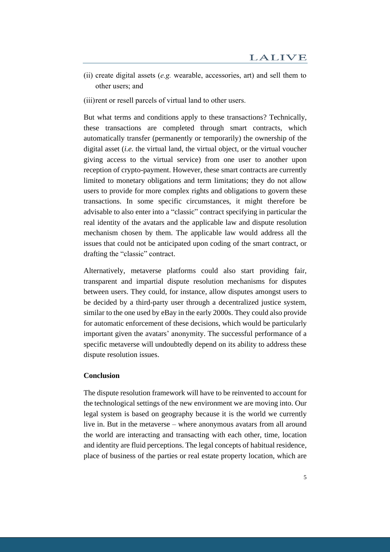- (ii) create digital assets (*e.g.* wearable, accessories, art) and sell them to other users; and
- (iii)rent or resell parcels of virtual land to other users.

But what terms and conditions apply to these transactions? Technically, these transactions are completed through smart contracts, which automatically transfer (permanently or temporarily) the ownership of the digital asset (*i.e.* the virtual land, the virtual object, or the virtual voucher giving access to the virtual service) from one user to another upon reception of crypto-payment. However, these smart contracts are currently limited to monetary obligations and term limitations; they do not allow users to provide for more complex rights and obligations to govern these transactions. In some specific circumstances, it might therefore be advisable to also enter into a "classic" contract specifying in particular the real identity of the avatars and the applicable law and dispute resolution mechanism chosen by them. The applicable law would address all the issues that could not be anticipated upon coding of the smart contract, or drafting the "classic" contract.

Alternatively, metaverse platforms could also start providing fair, transparent and impartial dispute resolution mechanisms for disputes between users. They could, for instance, allow disputes amongst users to be decided by a third-party user through a decentralized justice system, similar to the one used by eBay in the early 2000s. They could also provide for automatic enforcement of these decisions, which would be particularly important given the avatars' anonymity. The successful performance of a specific metaverse will undoubtedly depend on its ability to address these dispute resolution issues.

### **Conclusion**

The dispute resolution framework will have to be reinvented to account for the technological settings of the new environment we are moving into. Our legal system is based on geography because it is the world we currently live in. But in the metaverse – where anonymous avatars from all around the world are interacting and transacting with each other, time, location and identity are fluid perceptions. The legal concepts of habitual residence, place of business of the parties or real estate property location, which are